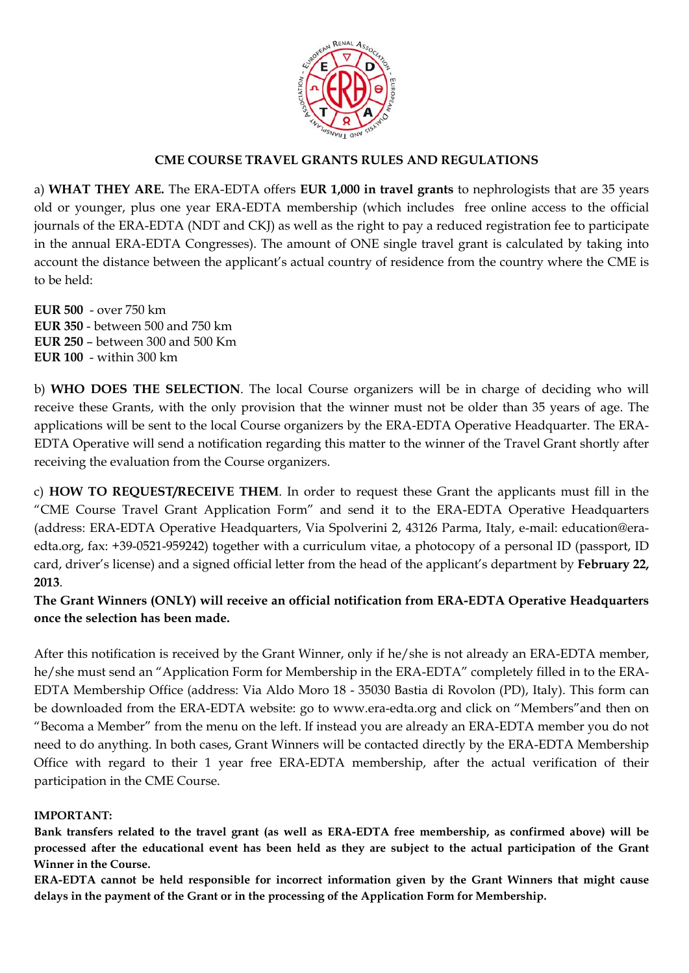

## **CME COURSE TRAVEL GRANTS RULES AND REGULATIONS**

a) **WHAT THEY ARE.** The ERA-EDTA offers **EUR 1,000 in travel grants** to nephrologists that are 35 years old or younger, plus one year ERA-EDTA membership (which includes free online access to the official journals of the ERA-EDTA (NDT and CKJ) as well as the right to pay a reduced registration fee to participate in the annual ERA-EDTA Congresses). The amount of ONE single travel grant is calculated by taking into account the distance between the applicant's actual country of residence from the country where the CME is to be held:

**EUR 500** - over 750 km **EUR 350** - between 500 and 750 km **EUR 250** – between 300 and 500 Km **EUR 100** - within 300 km

b) **WHO DOES THE SELECTION**. The local Course organizers will be in charge of deciding who will receive these Grants, with the only provision that the winner must not be older than 35 years of age. The applications will be sent to the local Course organizers by the ERA-EDTA Operative Headquarter. The ERA-EDTA Operative will send a notification regarding this matter to the winner of the Travel Grant shortly after receiving the evaluation from the Course organizers.

c) **HOW TO REQUEST/RECEIVE THEM**. In order to request these Grant the applicants must fill in the "CME Course Travel Grant Application Form" and send it to the ERA-EDTA Operative Headquarters (address: ERA-EDTA Operative Headquarters, Via Spolverini 2, 43126 Parma, Italy, e-mail: education@eraedta.org, fax: +39-0521-959242) together with a curriculum vitae, a photocopy of a personal ID (passport, ID card, driver's license) and a signed official letter from the head of the applicant's department by **February 22, 2013**.

**The Grant Winners (ONLY) will receive an official notification from ERA-EDTA Operative Headquarters once the selection has been made.** 

After this notification is received by the Grant Winner, only if he/she is not already an ERA-EDTA member, he/she must send an "Application Form for Membership in the ERA-EDTA" completely filled in to the ERA-EDTA Membership Office (address: Via Aldo Moro 18 - 35030 Bastia di Rovolon (PD), Italy). This form can be downloaded from the ERA-EDTA website: go to www.era-edta.org and click on "Members"and then on "Becoma a Member" from the menu on the left. If instead you are already an ERA-EDTA member you do not need to do anything. In both cases, Grant Winners will be contacted directly by the ERA-EDTA Membership Office with regard to their 1 year free ERA-EDTA membership, after the actual verification of their participation in the CME Course.

## **IMPORTANT:**

**Bank transfers related to the travel grant (as well as ERA-EDTA free membership, as confirmed above) will be processed after the educational event has been held as they are subject to the actual participation of the Grant Winner in the Course.** 

**ERA-EDTA cannot be held responsible for incorrect information given by the Grant Winners that might cause delays in the payment of the Grant or in the processing of the Application Form for Membership.**